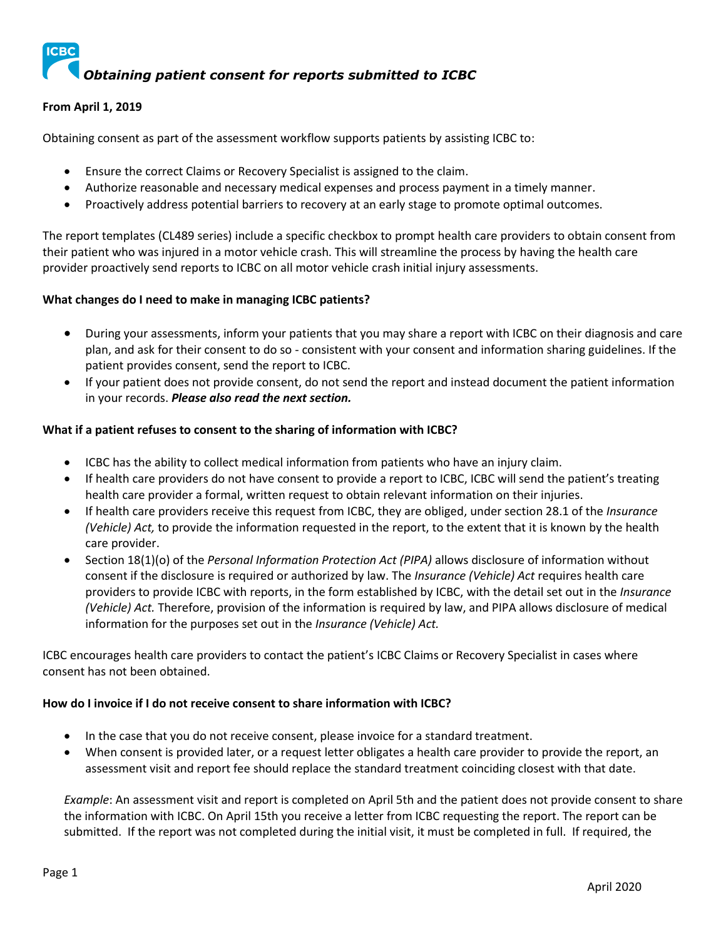

# **From April 1, 2019**

Obtaining consent as part of the assessment workflow supports patients by assisting ICBC to:

- Ensure the correct Claims or Recovery Specialist is assigned to the claim.
- Authorize reasonable and necessary medical expenses and process payment in a timely manner.
- Proactively address potential barriers to recovery at an early stage to promote optimal outcomes.

The report templates (CL489 series) include a specific checkbox to prompt health care providers to obtain consent from their patient who was injured in a motor vehicle crash. This will streamline the process by having the health care provider proactively send reports to ICBC on all motor vehicle crash initial injury assessments.

### **What changes do I need to make in managing ICBC patients?**

- During your assessments, inform your patients that you may share a report with ICBC on their diagnosis and care plan, and ask for their consent to do so - consistent with your consent and information sharing guidelines. If the patient provides consent, send the report to ICBC.
- If your patient does not provide consent, do not send the report and instead document the patient information in your records. *Please also read the next section.*

### **What if a patient refuses to consent to the sharing of information with ICBC?**

- ICBC has the ability to collect medical information from patients who have an injury claim.
- If health care providers do not have consent to provide a report to ICBC, ICBC will send the patient's treating health care provider a formal, written request to obtain relevant information on their injuries.
- If health care providers receive this request from ICBC, they are obliged, under section 28.1 of the *Insurance (Vehicle) Act,* to provide the information requested in the report, to the extent that it is known by the health care provider.
- Section 18(1)(o) of the *Personal Information Protection Act (PIPA)* allows disclosure of information without consent if the disclosure is required or authorized by law. The *Insurance (Vehicle) Act* requires health care providers to provide ICBC with reports, in the form established by ICBC, with the detail set out in the *Insurance (Vehicle) Act.* Therefore, provision of the information is required by law, and PIPA allows disclosure of medical information for the purposes set out in the *Insurance (Vehicle) Act.*

ICBC encourages health care providers to contact the patient's ICBC Claims or Recovery Specialist in cases where consent has not been obtained.

#### **How do I invoice if I do not receive consent to share information with ICBC?**

- In the case that you do not receive consent, please invoice for a standard treatment.
- When consent is provided later, or a request letter obligates a health care provider to provide the report, an assessment visit and report fee should replace the standard treatment coinciding closest with that date.

*Example*: An assessment visit and report is completed on April 5th and the patient does not provide consent to share the information with ICBC. On April 15th you receive a letter from ICBC requesting the report. The report can be submitted. If the report was not completed during the initial visit, it must be completed in full. If required, the